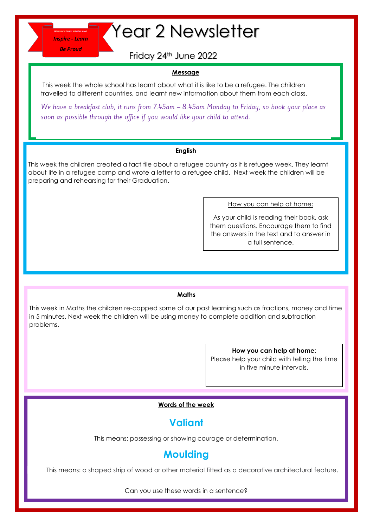**Be Proud** 

# **Thepire-Learn Year 2 Newsletter**

Friday 24th June 2022

### **Message**

This week the whole school has learnt about what it is like to be a refugee. The children travelled to different countries, and learnt new information about them from each class.

We have a breakfast club, it runs from 7.45am - 8.45am Monday to Friday, so book your place as soon as possible through the office if you would like your child to attend.

#### **English**

This week the children created a fact file about a refugee country as it is refugee week. They learnt about life in a refugee camp and wrote a letter to a refugee child. Next week the children will be preparing and rehearsing for their Graduation.

How you can help at home:

As your child is reading their book, ask them questions. Encourage them to find the answers in the text and to answer in a full sentence.

### **Maths**

This week in Maths the children re-capped some of our past learning such as fractions, money and time in 5 minutes. Next week the children will be using money to complete addition and subtraction problems.

#### **How you can help at home:**

Please help your child with telling the time in five minute intervals.

### **Words of the week**

# **Valiant**

This means: possessing or showing courage or determination.

## **Moulding**

This means: a shaped strip of wood or other material fitted as a decorative architectural feature.

Can you use these words in a sentence?